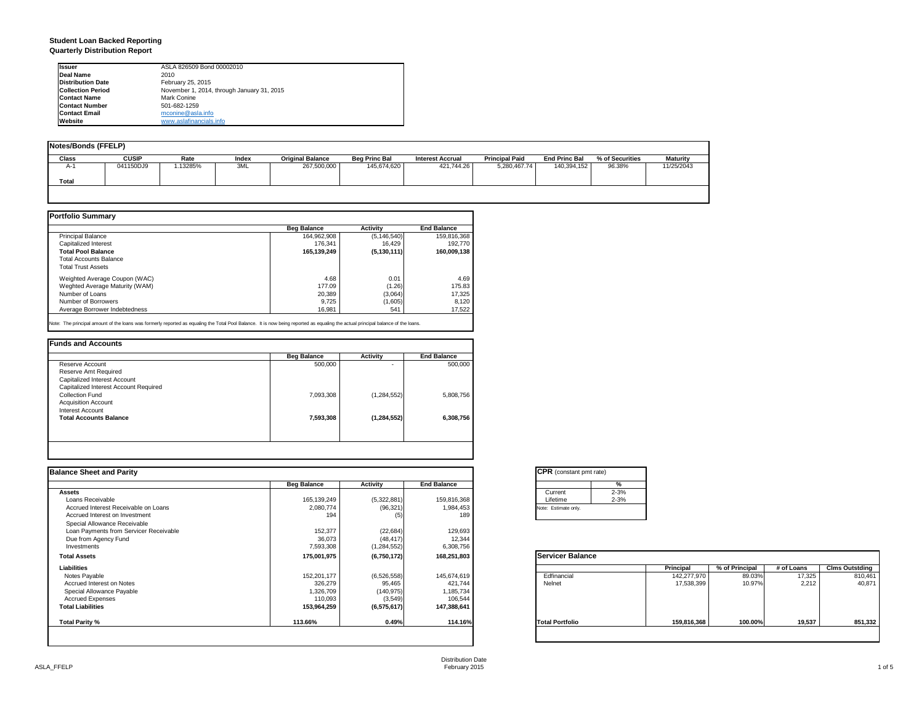#### **Student Loan Backed Reporting Quarterly Distribution Report**

| <b>Issuer</b>            | ASLA 826509 Bond 00002010                  |
|--------------------------|--------------------------------------------|
| Deal Name                | 2010                                       |
| <b>Distribution Date</b> | February 25, 2015                          |
| <b>Collection Period</b> | November 1, 2014, through January 31, 2015 |
| <b>Contact Name</b>      | Mark Conine                                |
| <b>Contact Number</b>    | 501-682-1259                               |
| <b>Contact Email</b>     | mconine@asla.info                          |
| Website                  | www.aslafinancials.info                    |

| <b>Notes/Bonds (FFELP)</b> |              |          |       |                         |                      |                         |                       |                      |                 |                 |
|----------------------------|--------------|----------|-------|-------------------------|----------------------|-------------------------|-----------------------|----------------------|-----------------|-----------------|
| Class                      | <b>CUSIP</b> | Rate     | Index | <b>Original Balance</b> | <b>Beg Princ Bal</b> | <b>Interest Accrual</b> | <b>Principal Paid</b> | <b>End Princ Bal</b> | % of Securities | <b>Maturity</b> |
| $A-1$                      | 041150DJ9    | 1.13285% | 3ML   | 267,500,000             | 145,674,620          | 421.744.26              | 5,280,467.74          | 140,394,152          | 96.38%          | 11/25/2043      |
| Total                      |              |          |       |                         |                      |                         |                       |                      |                 |                 |
|                            |              |          |       |                         |                      |                         |                       |                      |                 |                 |

|                                | <b>Beg Balance</b> | <b>Activity</b> | <b>End Balance</b> |
|--------------------------------|--------------------|-----------------|--------------------|
| Principal Balance              | 164,962,908        | (5, 146, 540)   | 159,816,368        |
| Capitalized Interest           | 176.341            | 16.429          | 192,770            |
| <b>Total Pool Balance</b>      | 165,139,249        | (5, 130, 111)   | 160,009,138        |
| <b>Total Accounts Balance</b>  |                    |                 |                    |
| <b>Total Trust Assets</b>      |                    |                 |                    |
| Weighted Average Coupon (WAC)  | 4.68               | 0.01            | 4.69               |
| Weghted Average Maturity (WAM) | 177.09             | (1.26)          | 175.83             |
| Number of Loans                | 20,389             | (3,064)         | 17,325             |
| Number of Borrowers            | 9.725              | (1,605)         | 8,120              |
| Average Borrower Indebtedness  | 16.981             | 541             | 17,522             |

Note: The principal amount of the loans was formerly reported as equaling the Total Pool Balance. It is now being reported as equaling the actual principal balance of the loans.

|                                       | <b>Beg Balance</b> | Activity      | <b>End Balance</b> |
|---------------------------------------|--------------------|---------------|--------------------|
| Reserve Account                       | 500,000            | ۰             | 500,000            |
| Reserve Amt Required                  |                    |               |                    |
| Capitalized Interest Account          |                    |               |                    |
| Capitalized Interest Account Required |                    |               |                    |
| Collection Fund                       | 7,093,308          | (1, 284, 552) | 5,808,756          |
| <b>Acquisition Account</b>            |                    |               |                    |
| Interest Account                      |                    |               |                    |
| <b>Total Accounts Balance</b>         | 7,593,308          | (1, 284, 552) | 6,308,756          |
|                                       |                    |               |                    |
|                                       |                    |               |                    |

| <b>Balance Sheet and Parity</b>        |                    |               |                    | <b>CPR</b> (constant pmt rate) |             |                |            |                       |
|----------------------------------------|--------------------|---------------|--------------------|--------------------------------|-------------|----------------|------------|-----------------------|
|                                        | <b>Beg Balance</b> | Activity      | <b>End Balance</b> | %                              |             |                |            |                       |
| Assets                                 |                    |               |                    | $2 - 3%$<br>Current            |             |                |            |                       |
| Loans Receivable                       | 165, 139, 249      | (5,322,881)   | 159,816,368        | $2 - 3%$<br>Lifetime           |             |                |            |                       |
| Accrued Interest Receivable on Loans   | 2,080,774          | (96, 321)     | 1,984,453          | Note: Estimate only.           |             |                |            |                       |
| Accrued Interest on Investment         | 194                | (5)           | 189                |                                |             |                |            |                       |
| Special Allowance Receivable           |                    |               |                    |                                |             |                |            |                       |
| Loan Payments from Servicer Receivable | 152,377            | (22, 684)     | 129,693            |                                |             |                |            |                       |
| Due from Agency Fund                   | 36,073             | (48, 417)     | 12,344             |                                |             |                |            |                       |
| Investments                            | 7,593,308          | (1,284,552)   | 6,308,756          |                                |             |                |            |                       |
| <b>Total Assets</b>                    | 175,001,975        | (6,750,172)   | 168,251,803        | <b>Servicer Balance</b>        |             |                |            |                       |
| Liabilities                            |                    |               |                    |                                | Principal   | % of Principal | # of Loans | <b>Clms Outstding</b> |
| Notes Payable                          | 152,201,177        | (6,526,558)   | 145,674,619        | Edfinancial                    | 142,277,970 | 89.03%         | 17,325     | 810,461               |
| Accrued Interest on Notes              | 326,279            | 95,465        | 421,744            | Nelnet                         | 17,538,399  | 10.97%         | 2.212      | 40,871                |
| Special Allowance Payable              | 1,326,709          | (140, 975)    | 1,185,734          |                                |             |                |            |                       |
| <b>Accrued Expenses</b>                | 110,093            | (3,549)       | 106,544            |                                |             |                |            |                       |
| <b>Total Liabilities</b>               | 153,964,259        | (6, 575, 617) | 147,388,641        |                                |             |                |            |                       |
| Total Parity %                         | 113.66%            | 0.49%         | 114.16%            | <b>Total Portfolio</b>         | 159,816,368 | 100.00%        | 19,537     | 851,332               |
|                                        |                    |               |                    |                                |             |                |            |                       |

| <b>CPR</b> (constant pmt rate) |          |  |  |  |  |  |
|--------------------------------|----------|--|--|--|--|--|
|                                | %        |  |  |  |  |  |
| Current                        | $2 - 3%$ |  |  |  |  |  |
| Lifetime                       | $2 - 3%$ |  |  |  |  |  |
| Note: Estimate only.           |          |  |  |  |  |  |
|                                |          |  |  |  |  |  |

|                        | Principal   | % of Principal | # of Loans | <b>Clms Outstding</b> |
|------------------------|-------------|----------------|------------|-----------------------|
| Edfinancial            | 142,277,970 | 89.03%         | 17,325     | 810,461               |
| Nelnet                 | 17,538,399  | 10.97%         | 2,212      | 40,871                |
| <b>Total Portfolio</b> | 159,816,368 | 100.00%        | 19,537     | 851,332               |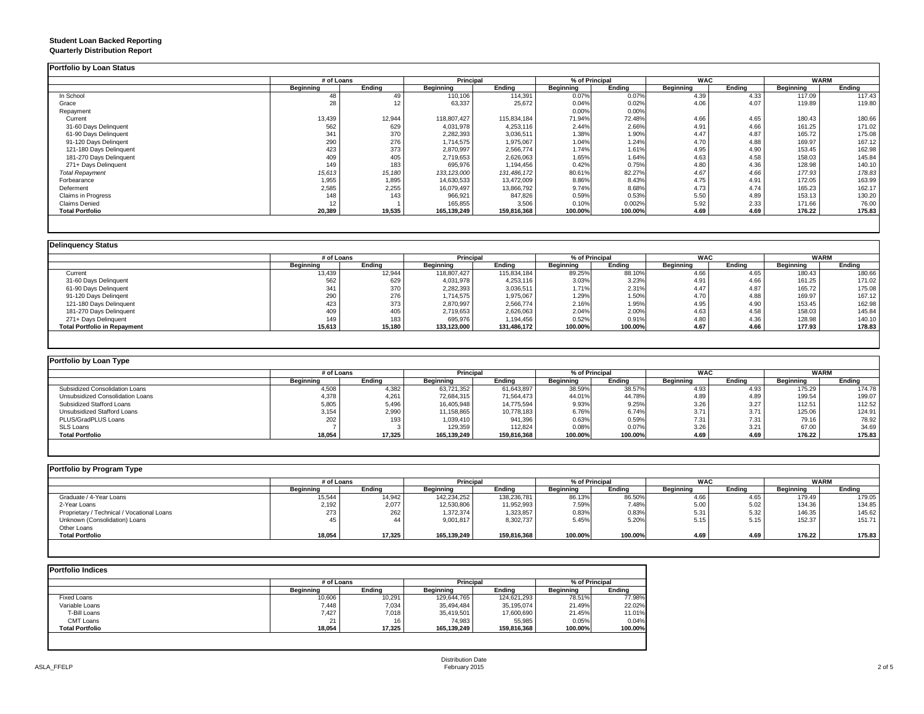#### **Student Loan Backed Reporting Quarterly Distribution Report**

|                           | # of Loans |        | <b>Principal</b> |             | % of Principal |         | <b>WAC</b> |        | <b>WARM</b>      |        |
|---------------------------|------------|--------|------------------|-------------|----------------|---------|------------|--------|------------------|--------|
|                           | Beginning  | Ending | Beginning        | Ending      | Beginning      | Ending  | Beginning  | Ending | <b>Beginning</b> | Ending |
| In School                 | 48         |        | 110,106          | 114.391     | 0.07%          | 0.07%   | 4.39       | 4.33   | 117.09           | 117.43 |
| Grace                     | 28         |        | 63,337           | 25,672      | 0.04%          | 0.02%   | 4.06       | 4.07   | 119.89           | 119.80 |
| Repayment                 |            |        |                  |             | 0.00%          | 0.00%   |            |        |                  |        |
| Current                   | 13,439     | 12,944 | 118,807,427      | 115,834,184 | 71.94%         | 72.48%  | 4.66       | 4.65   | 180.43           | 180.66 |
| 31-60 Days Delinquent     | 562        | 629    | 4,031,978        | 4,253,116   | 2.44%          | 2.66%   | 4.91       | 4.66   | 161.25           | 171.02 |
| 61-90 Days Delinquent     | 341        | 370    | 2,282,393        | 3,036,511   | 1.38%          | 1.90%   | 4.47       | 4.87   | 165.72           | 175.08 |
| 91-120 Days Delingent     | 290        | 276    | 1,714,575        | 1,975,067   | 1.04%          | 1.24%   | 4.70       | 4.88   | 169.97           | 167.12 |
| 121-180 Days Delinquent   | 423        | 373    | 2,870,997        | 2,566,774   | 1.74%          | 1.61%   | 4.95       | 4.90   | 153.45           | 162.98 |
| 181-270 Days Delinquent   | 409        | 405    | 2,719,653        | 2,626,063   | 1.65%          | 1.64%   | 4.63       | 4.58   | 158.03           | 145.84 |
| 271+ Days Delinquent      | 149        | 183    | 695,976          | 1,194,456   | 0.42%          | 0.75%   | 4.80       | 4.36   | 128.98           | 140.10 |
| <b>Total Repayment</b>    | 15,613     | 15,180 | 133, 123,000     | 131,486,172 | 80.61%         | 82.27%  | 4.67       | 4.66   | 177.93           | 178.83 |
| Forbearance               | 1,955      | 1,895  | 14,630,533       | 13,472,009  | 8.86%          | 8.43%   | 4.75       | 4.91   | 172.05           | 163.99 |
| Deferment                 | 2,585      | 2,255  | 16,079,497       | 13,866,792  | 9.74%          | 8.68%   | 4.73       | 4.74   | 165.23           | 162.17 |
| <b>Claims in Progress</b> | 148        | 143    | 966,921          | 847,826     | 0.59%          | 0.53%   | 5.50       | 4.89   | 153.13           | 130.20 |
| <b>Claims Denied</b>      | 12         |        | 165,855          | 3,506       | 0.10%          | 0.002%  | 5.92       | 2.33   | 171.66           | 76.00  |
| <b>Total Portfolio</b>    | 20,389     | 19,535 | 165,139,249      | 159,816,368 | 100.00%        | 100.00% | 4.69       | 4.69   | 176.22           | 175.83 |

|                                     | # of Loans |        | Principal   |             | % of Principal |         | <b>WAC</b> |        | <b>WARM</b> |        |
|-------------------------------------|------------|--------|-------------|-------------|----------------|---------|------------|--------|-------------|--------|
|                                     | Beainnina  | Endina | Beainnina   | Endina      | Beginning      | Endina  | Beginning  | Endina | Beginning   | Endina |
| Current                             | 13,439     | 12,944 | 118,807,427 | 115,834,184 | 89.25%         | 88.10%  | 4.66       | 4.65   | 180.43      | 180.66 |
| 31-60 Days Delinquent               | 562        | 629    | 4,031,978   | 4,253,116   | 3.03%          | 3.23%   | 4.91       | 4.66   | 161.25      | 171.02 |
| 61-90 Days Delinquent               | 341        | 370    | 2,282,393   | 3,036,511   | 1.71%          | 2.31%   | 4.47       | 4.87   | 165.72      | 175.08 |
| 91-120 Days Delingent               | 290        | 276    | 1,714,575   | 1,975,067   | 1.29%          | 1.50%   | 4.70       | 4.88   | 169.97      | 167.12 |
| 121-180 Days Delinquent             | 423        | 373    | 2,870,997   | 2,566,774   | 2.16%          | 1.95%   | 4.95       | 4.90   | 153.45      | 162.98 |
| 181-270 Days Delinquent             | 409        | 405    | 2,719,653   | 2,626,063   | 2.04%          | 2.00%   | 4.63       | 4.58   | 158.03      | 145.84 |
| 271+ Days Delinquent                | 149        | 183    | 695,976     | 1,194,456   | 0.52%          | 0.91%   | 4.80       | 4.36   | 128.98      | 140.10 |
| <b>Total Portfolio in Repayment</b> | 15,613     | 15,180 | 133,123,000 | 131,486,172 | 100.00%        | 100.00% | 4.67       | 4.66   | 177.93      | 178.83 |

| Portfolio by Loan Type           |                  |        |                  |             |                  |         |                  |        |             |        |
|----------------------------------|------------------|--------|------------------|-------------|------------------|---------|------------------|--------|-------------|--------|
|                                  | # of Loans       |        | <b>Principal</b> |             | % of Principal   |         | WAC              |        | <b>WARM</b> |        |
|                                  | <b>Beginning</b> | Endina | Beginning        | Endina      | <b>Beginning</b> | Endina  | <b>Beginning</b> | Ending | Beginning   | Ending |
| Subsidized Consolidation Loans   | 4.508            | 4.382  | 63,721,352       | 61.643.897  | 38.59%           | 38.57%  | 4.93             | 4.93   | 175.29      | 174.78 |
| Unsubsidized Consolidation Loans | 4,378            | 4.261  | 72,684,315       | 71,564,473  | 44.01%           | 44.78%  | 4.89             | 4.89   | 199.54      | 199.07 |
| Subsidized Stafford Loans        | 5,805            | 5,496  | 16,405,948       | 14.775.594  | 9.93%            | 9.25%   | 3.26             | 3.27   | 112.51      | 112.52 |
| Unsubsidized Stafford Loans      | 3,154            | 2,990  | 11,158,865       | 10,778,183  | 6.76%            | 6.74%   | 3.7'             | 3.71   | 125.06      | 124.91 |
| PLUS/GradPLUS Loans              | 202              | 193    | 1,039,410        | 941.396     | 0.63%            | 0.59%   | 7.31             | 7.31   | 79.16       | 78.92  |
| <b>SLS Loans</b>                 |                  |        | 129,359          | 112.824     | 0.08%            | 0.07%   | 3.26             | 3.21   | 67.00       | 34.69  |
| <b>Total Portfolio</b>           | 18,054           | 17,325 | 165,139,249      | 159,816,368 | 100.00%          | 100.00% | 4.69             | 4.69   | 176.22      | 175.83 |

| Portfolio by Program Type                  |            |        |             |             |           |                |            |        |           |             |
|--------------------------------------------|------------|--------|-------------|-------------|-----------|----------------|------------|--------|-----------|-------------|
|                                            | # of Loans |        | Principal   |             |           | % of Principal | <b>WAC</b> |        |           | <b>WARM</b> |
|                                            | Beginning  | Ending | Beginning   | Ending      | Beginning | Ending         | Beginning  | Ending | Beginning | Ending      |
| Graduate / 4-Year Loans                    | 15,544     | 14.942 | 142.234.252 | 138.236.781 | 86.13%    | 86.50%         | 4.66       | 4.65   | 179.49    | 179.05      |
| 2-Year Loans                               | 2,192      | 2,077  | 12,530,806  | 11,952,993  | 7.59%     | 7.48%          | 5.00       | 5.02   | 134.36    | 134.85      |
| Proprietary / Technical / Vocational Loans | 273        | 262    | 1,372,374   | 1,323,857   | 0.83%     | 0.83%          | 5.31       | 5.32   | 146.35    | 145.62      |
| Unknown (Consolidation) Loans              |            | 44     | 9,001,817   | 8,302,737   | 5.45%     | 5.209          | 5.15       | 5.15   | 152.37    | 151.71      |
| Other Loans                                |            |        |             |             |           |                |            |        |           |             |
| <b>Total Portfolio</b>                     | 18,054     | 17,325 | 165,139,249 | 159,816,368 | 100.00%   | 100.00%        | 4.69       | 4.69   | 176.22    | 175.83      |
|                                            |            |        |             |             |           |                |            |        |           |             |

|                        | # of Loans |        | <b>Principal</b> |             | % of Principal |         |
|------------------------|------------|--------|------------------|-------------|----------------|---------|
|                        | Beginning  | Endina | <b>Beainning</b> | Endina      | Beginning      | Endina  |
| Fixed Loans            | 10,606     | 10,291 | 129,644,765      | 124,621,293 | 78.51%         | 77.98%  |
| Variable Loans         | 7.448      | 7,034  | 35,494,484       | 35,195,074  | 21.49%         | 22.02%  |
| T-Bill Loans           | 7.427      | 7,018  | 35,419,501       | 17,600,690  | 21.45%         | 11.01%  |
| <b>CMT Loans</b>       | 24<br>∠    | 16     | 74.983           | 55.985      | 0.05%          | 0.04%   |
| <b>Total Portfolio</b> | 18.054     | 17,325 | 165.139.249      | 159,816,368 | 100.00%        | 100.00% |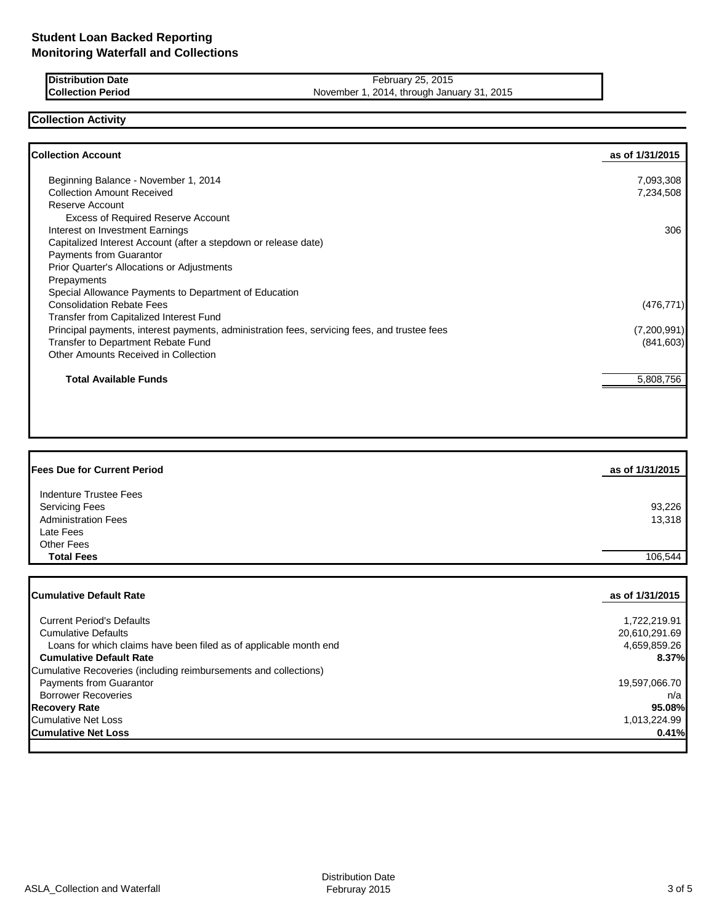**Distribution Date February 25, 2015 Collection Period** November 1, 2014, through January 31, 2015

## **Collection Activity**

| <b>Collection Account</b>                                                                    | as of 1/31/2015 |
|----------------------------------------------------------------------------------------------|-----------------|
| Beginning Balance - November 1, 2014                                                         | 7,093,308       |
| <b>Collection Amount Received</b>                                                            | 7,234,508       |
| Reserve Account                                                                              |                 |
| <b>Excess of Required Reserve Account</b>                                                    |                 |
| Interest on Investment Earnings                                                              | 306             |
| Capitalized Interest Account (after a stepdown or release date)                              |                 |
| Payments from Guarantor                                                                      |                 |
| Prior Quarter's Allocations or Adjustments                                                   |                 |
| Prepayments                                                                                  |                 |
| Special Allowance Payments to Department of Education                                        |                 |
| <b>Consolidation Rebate Fees</b>                                                             | (476, 771)      |
| Transfer from Capitalized Interest Fund                                                      |                 |
| Principal payments, interest payments, administration fees, servicing fees, and trustee fees | (7,200,991)     |
| Transfer to Department Rebate Fund                                                           | (841, 603)      |
| Other Amounts Received in Collection                                                         |                 |
| <b>Total Available Funds</b>                                                                 | 5,808,756       |
|                                                                                              |                 |
|                                                                                              |                 |

| <b>Fees Due for Current Period</b> | as of 1/31/2015 |
|------------------------------------|-----------------|
| Indenture Trustee Fees             |                 |
| <b>Servicing Fees</b>              | 93,226          |
| <b>Administration Fees</b>         | 13,318          |
| Late Fees                          |                 |
| <b>Other Fees</b>                  |                 |
| <b>Total Fees</b>                  | 106.544         |

| <b>ICumulative Default Rate</b>                                   | as of 1/31/2015 |
|-------------------------------------------------------------------|-----------------|
|                                                                   |                 |
| <b>Current Period's Defaults</b>                                  | 1,722,219.91    |
| <b>Cumulative Defaults</b>                                        | 20,610,291.69   |
| Loans for which claims have been filed as of applicable month end | 4,659,859.26    |
| <b>Cumulative Default Rate</b>                                    | 8.37%           |
| Cumulative Recoveries (including reimbursements and collections)  |                 |
| Payments from Guarantor                                           | 19,597,066.70   |
| <b>Borrower Recoveries</b>                                        | n/a             |
| <b>Recovery Rate</b>                                              | 95.08%          |
| Cumulative Net Loss                                               | 1.013.224.99    |
| <b>Cumulative Net Loss</b>                                        | 0.41%           |
|                                                                   |                 |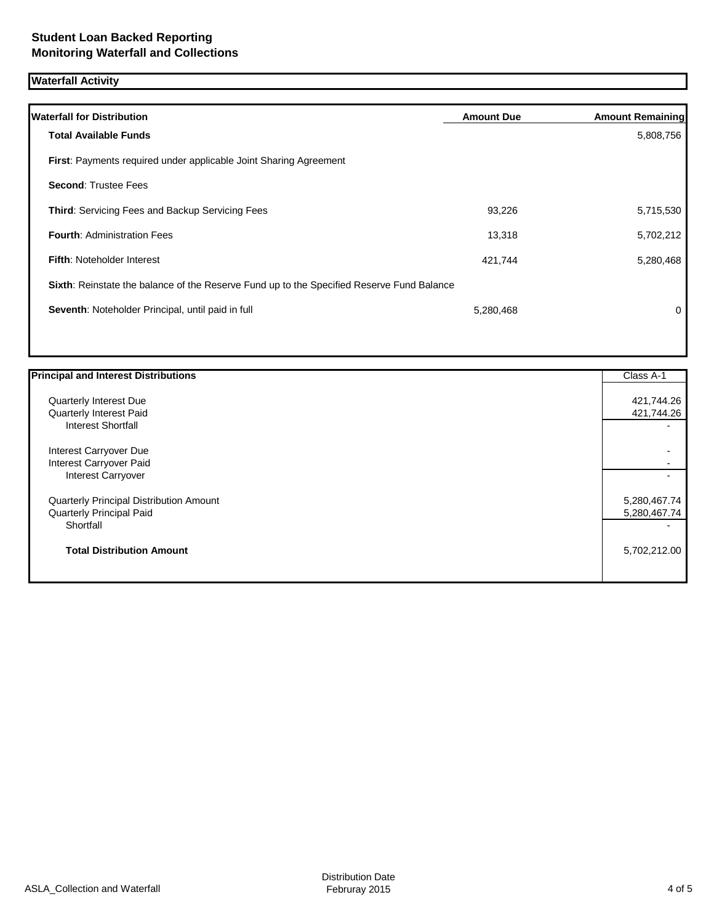# **Waterfall Activity**

| <b>Waterfall for Distribution</b>                                                         | <b>Amount Due</b> | <b>Amount Remaining</b> |
|-------------------------------------------------------------------------------------------|-------------------|-------------------------|
| <b>Total Available Funds</b>                                                              |                   | 5,808,756               |
| <b>First:</b> Payments required under applicable Joint Sharing Agreement                  |                   |                         |
| <b>Second: Trustee Fees</b>                                                               |                   |                         |
| <b>Third: Servicing Fees and Backup Servicing Fees</b>                                    | 93,226            | 5,715,530               |
| <b>Fourth: Administration Fees</b>                                                        | 13,318            | 5,702,212               |
| <b>Fifth: Noteholder Interest</b>                                                         | 421,744           | 5,280,468               |
| Sixth: Reinstate the balance of the Reserve Fund up to the Specified Reserve Fund Balance |                   |                         |
| Seventh: Noteholder Principal, until paid in full                                         | 5,280,468         | 0                       |
|                                                                                           |                   |                         |

| <b>Principal and Interest Distributions</b> | Class A-1    |
|---------------------------------------------|--------------|
| Quarterly Interest Due                      | 421,744.26   |
| Quarterly Interest Paid                     | 421,744.26   |
| <b>Interest Shortfall</b>                   |              |
| Interest Carryover Due                      |              |
| Interest Carryover Paid                     |              |
| Interest Carryover                          |              |
| Quarterly Principal Distribution Amount     | 5,280,467.74 |
| Quarterly Principal Paid                    | 5,280,467.74 |
| Shortfall                                   |              |
| <b>Total Distribution Amount</b>            | 5,702,212.00 |
|                                             |              |